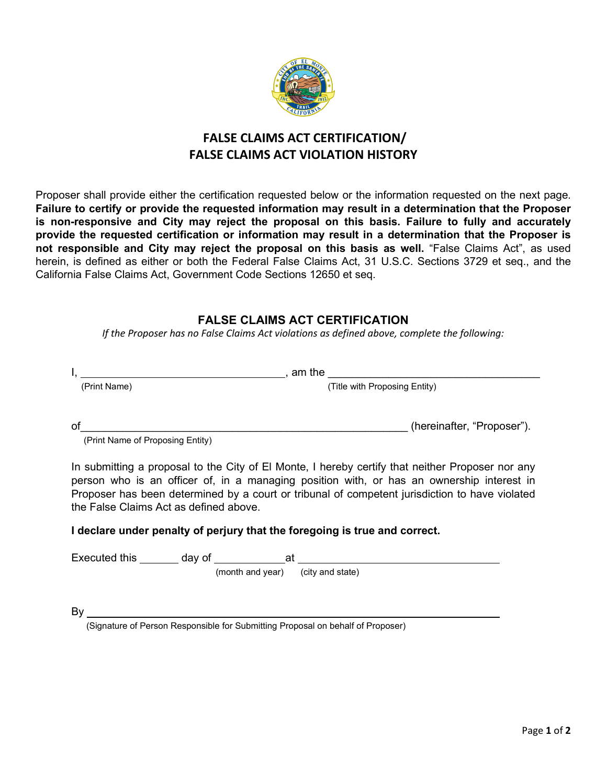

## **FALSE CLAIMS ACT CERTIFICATION/ FALSE CLAIMS ACT VIOLATION HISTORY**

Proposer shall provide either the certification requested below or the information requested on the next page. **Failure to certify or provide the requested information may result in a determination that the Proposer is non-responsive and City may reject the proposal on this basis. Failure to fully and accurately provide the requested certification or information may result in a determination that the Proposer is not responsible and City may reject the proposal on this basis as well.** "False Claims Act", as used herein, is defined as either or both the Federal False Claims Act, 31 U.S.C. Sections 3729 et seq., and the California False Claims Act, Government Code Sections 12650 et seq.

## **FALSE CLAIMS ACT CERTIFICATION**

*If the Proposer has no False Claims Act violations as defined above, complete the following:* 

|    | am the                                                                                          |                               |
|----|-------------------------------------------------------------------------------------------------|-------------------------------|
|    | (Print Name)                                                                                    | (Title with Proposing Entity) |
| ot | (Print Name of Proposing Entity)                                                                | (hereinafter, "Proposer").    |
|    | In submitting a proposal to the City of El Monte I hereby certify that neither Proposer por any |                               |

In submitting a proposal to the City of El Monte, I hereby certify that neither Proposer nor any person who is an officer of, in a managing position with, or has an ownership interest in Proposer has been determined by a court or tribunal of competent jurisdiction to have violated the False Claims Act as defined above.

## **I declare under penalty of perjury that the foregoing is true and correct.**

| Executed this | day of | at                                |  |  |
|---------------|--------|-----------------------------------|--|--|
|               |        | (month and year) (city and state) |  |  |
|               |        |                                   |  |  |

 $\mathsf{By}$ 

(Signature of Person Responsible for Submitting Proposal on behalf of Proposer)